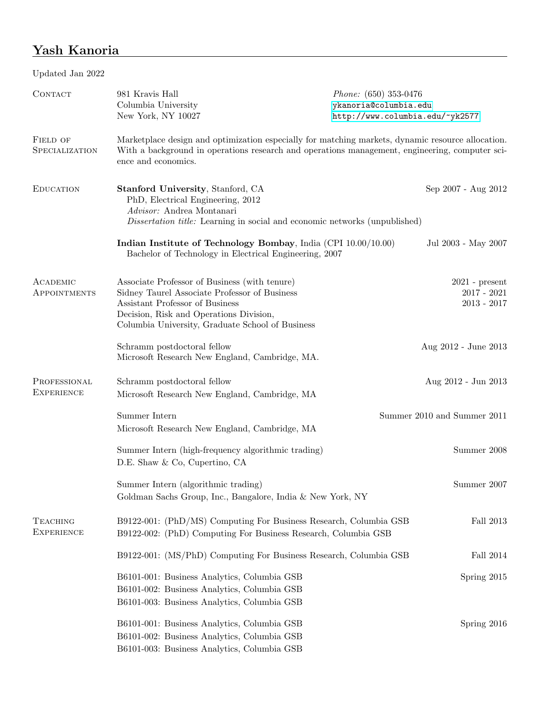# Yash Kanoria

| Updated Jan 2022                     |                                                                                                                                                                                                                                  |                                                                                            |  |
|--------------------------------------|----------------------------------------------------------------------------------------------------------------------------------------------------------------------------------------------------------------------------------|--------------------------------------------------------------------------------------------|--|
| CONTACT                              | 981 Kravis Hall<br>Columbia University<br>New York, NY 10027                                                                                                                                                                     | <i>Phone:</i> $(650)$ 353-0476<br>ykanoria@columbia.edu<br>http://www.columbia.edu/~yk2577 |  |
| FIELD OF<br><b>SPECIALIZATION</b>    | Marketplace design and optimization especially for matching markets, dynamic resource allocation.<br>With a background in operations research and operations management, engineering, computer sci-<br>ence and economics.       |                                                                                            |  |
| <b>EDUCATION</b>                     | Stanford University, Stanford, CA<br>PhD, Electrical Engineering, 2012<br>Advisor: Andrea Montanari<br>Dissertation title: Learning in social and economic networks (unpublished)                                                | Sep 2007 - Aug 2012                                                                        |  |
|                                      | Indian Institute of Technology Bombay, India (CPI 10.00/10.00)<br>Bachelor of Technology in Electrical Engineering, 2007                                                                                                         | Jul 2003 - May 2007                                                                        |  |
| ACADEMIC<br>APPOINTMENTS             | Associate Professor of Business (with tenure)<br>Sidney Taurel Associate Professor of Business<br>Assistant Professor of Business<br>Decision, Risk and Operations Division,<br>Columbia University, Graduate School of Business | $2021$ - present<br>$2017 - 2021$<br>$2013 - 2017$                                         |  |
|                                      | Schramm postdoctoral fellow<br>Microsoft Research New England, Cambridge, MA.                                                                                                                                                    | Aug 2012 - June 2013                                                                       |  |
| PROFESSIONAL<br><b>EXPERIENCE</b>    | Schramm postdoctoral fellow<br>Microsoft Research New England, Cambridge, MA                                                                                                                                                     | Aug 2012 - Jun 2013                                                                        |  |
|                                      | Summer Intern<br>Microsoft Research New England, Cambridge, MA                                                                                                                                                                   | Summer 2010 and Summer 2011                                                                |  |
|                                      | Summer Intern (high-frequency algorithmic trading)<br>D.E. Shaw & Co, Cupertino, CA                                                                                                                                              | Summer 2008                                                                                |  |
|                                      | Summer Intern (algorithmic trading)<br>Goldman Sachs Group, Inc., Bangalore, India & New York, NY                                                                                                                                | Summer 2007                                                                                |  |
| <b>TEACHING</b><br><b>EXPERIENCE</b> | B9122-001: (PhD/MS) Computing For Business Research, Columbia GSB<br>B9122-002: (PhD) Computing For Business Research, Columbia GSB                                                                                              | Fall 2013                                                                                  |  |
|                                      | B9122-001: (MS/PhD) Computing For Business Research, Columbia GSB                                                                                                                                                                | Fall 2014                                                                                  |  |
|                                      | B6101-001: Business Analytics, Columbia GSB<br>B6101-002: Business Analytics, Columbia GSB<br>B6101-003: Business Analytics, Columbia GSB                                                                                        | Spring 2015                                                                                |  |
|                                      | B6101-001: Business Analytics, Columbia GSB<br>B6101-002: Business Analytics, Columbia GSB<br>B6101-003: Business Analytics, Columbia GSB                                                                                        | Spring 2016                                                                                |  |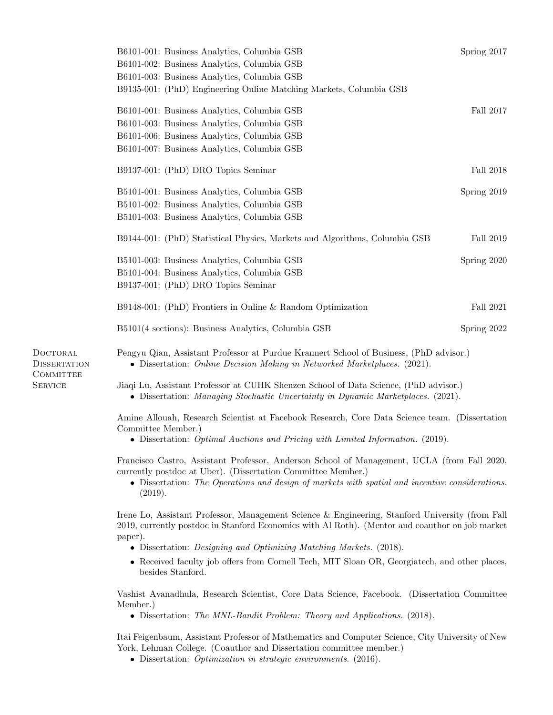|                                                     | B6101-001: Business Analytics, Columbia GSB<br>B6101-002: Business Analytics, Columbia GSB<br>B6101-003: Business Analytics, Columbia GSB<br>B9135-001: (PhD) Engineering Online Matching Markets, Columbia GSB                                                                            | Spring 2017      |  |
|-----------------------------------------------------|--------------------------------------------------------------------------------------------------------------------------------------------------------------------------------------------------------------------------------------------------------------------------------------------|------------------|--|
|                                                     | B6101-001: Business Analytics, Columbia GSB<br>B6101-003: Business Analytics, Columbia GSB<br>B6101-006: Business Analytics, Columbia GSB<br>B6101-007: Business Analytics, Columbia GSB                                                                                                   | Fall 2017        |  |
|                                                     | B9137-001: (PhD) DRO Topics Seminar                                                                                                                                                                                                                                                        | <b>Fall 2018</b> |  |
|                                                     | B5101-001: Business Analytics, Columbia GSB<br>B5101-002: Business Analytics, Columbia GSB<br>B5101-003: Business Analytics, Columbia GSB                                                                                                                                                  | Spring 2019      |  |
|                                                     | B9144-001: (PhD) Statistical Physics, Markets and Algorithms, Columbia GSB                                                                                                                                                                                                                 | Fall 2019        |  |
|                                                     | B5101-003: Business Analytics, Columbia GSB<br>B5101-004: Business Analytics, Columbia GSB<br>B9137-001: (PhD) DRO Topics Seminar                                                                                                                                                          | Spring 2020      |  |
|                                                     | B9148-001: (PhD) Frontiers in Online & Random Optimization                                                                                                                                                                                                                                 | Fall 2021        |  |
|                                                     | B5101(4 sections): Business Analytics, Columbia GSB                                                                                                                                                                                                                                        | Spring 2022      |  |
| DOCTORAL<br><b>DISSERTATION</b><br><b>COMMITTEE</b> | Pengyu Qian, Assistant Professor at Purdue Krannert School of Business, (PhD advisor.)<br>• Dissertation: Online Decision Making in Networked Marketplaces. (2021).                                                                                                                        |                  |  |
| <b>SERVICE</b>                                      | Jiaqi Lu, Assistant Professor at CUHK Shenzen School of Data Science, (PhD advisor.)<br>• Dissertation: Managing Stochastic Uncertainty in Dynamic Marketplaces. (2021).                                                                                                                   |                  |  |
|                                                     | Amine Allouah, Research Scientist at Facebook Research, Core Data Science team. (Dissertation<br>Committee Member.)<br>• Dissertation: <i>Optimal Auctions and Pricing with Limited Information.</i> (2019).                                                                               |                  |  |
|                                                     | Francisco Castro, Assistant Professor, Anderson School of Management, UCLA (from Fall 2020,<br>currently postdoc at Uber). (Dissertation Committee Member.)<br>• Dissertation: The Operations and design of markets with spatial and incentive considerations.<br>(2019).                  |                  |  |
|                                                     | Irene Lo, Assistant Professor, Management Science & Engineering, Stanford University (from Fall<br>2019, currently postdoc in Stanford Economics with Al Roth). (Mentor and coauthor on job market<br>paper).<br>• Dissertation: <i>Designing and Optimizing Matching Markets.</i> (2018). |                  |  |
|                                                     | • Received faculty job offers from Cornell Tech, MIT Sloan OR, Georgiatech, and other places,<br>besides Stanford.                                                                                                                                                                         |                  |  |
|                                                     | Vashist Avanadhula, Research Scientist, Core Data Science, Facebook. (Dissertation Committee<br>Member.)                                                                                                                                                                                   |                  |  |

Dissertation: The MNL-Bandit Problem: Theory and Applications. (2018).

Itai Feigenbaum, Assistant Professor of Mathematics and Computer Science, City University of New York, Lehman College. (Coauthor and Dissertation committee member.)

Dissertation: Optimization in strategic environments. (2016).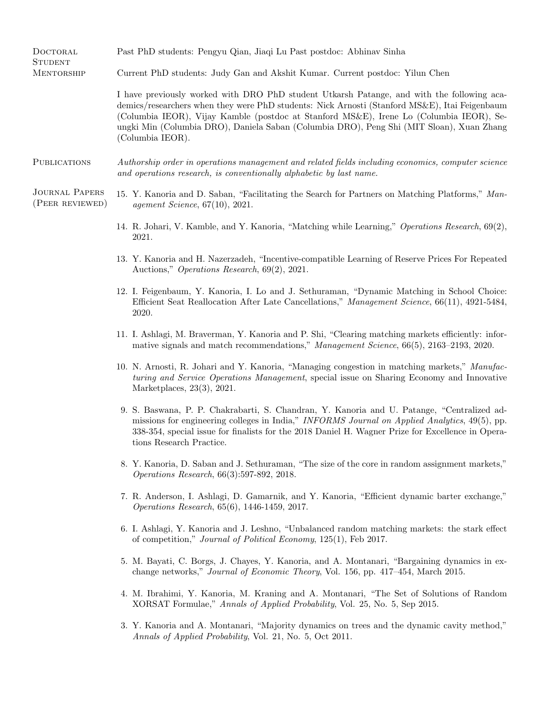| DOCTORAL<br><b>STUDENT</b>               | Past PhD students: Pengyu Qian, Jiaqi Lu Past postdoc: Abhinav Sinha                                                                                                                                                                                                                                                                                                                                   |
|------------------------------------------|--------------------------------------------------------------------------------------------------------------------------------------------------------------------------------------------------------------------------------------------------------------------------------------------------------------------------------------------------------------------------------------------------------|
| <b>MENTORSHIP</b>                        | Current PhD students: Judy Gan and Akshit Kumar. Current postdoc: Yilun Chen                                                                                                                                                                                                                                                                                                                           |
|                                          | I have previously worked with DRO PhD student Utkarsh Patange, and with the following aca-<br>demics/researchers when they were PhD students: Nick Arnosti (Stanford MS&E), Itai Feigenbaum<br>(Columbia IEOR), Vijay Kamble (postdoc at Stanford MS&E), Irene Lo (Columbia IEOR), Se-<br>ungki Min (Columbia DRO), Daniela Saban (Columbia DRO), Peng Shi (MIT Sloan), Xuan Zhang<br>(Columbia IEOR). |
| <b>PUBLICATIONS</b>                      | Authorship order in operations management and related fields including economics, computer science<br>and operations research, is conventionally alphabetic by last name.                                                                                                                                                                                                                              |
| <b>JOURNAL PAPERS</b><br>(PEER REVIEWED) | 15. Y. Kanoria and D. Saban, "Facilitating the Search for Partners on Matching Platforms," Man-<br><i>agement Science</i> , $67(10)$ , $2021$ .                                                                                                                                                                                                                                                        |
|                                          | 14. R. Johari, V. Kamble, and Y. Kanoria, "Matching while Learning," Operations Research, 69(2),<br>2021.                                                                                                                                                                                                                                                                                              |
|                                          | 13. Y. Kanoria and H. Nazerzadeh, "Incentive-compatible Learning of Reserve Prices For Repeated<br>Auctions," Operations Research, 69(2), 2021.                                                                                                                                                                                                                                                        |
|                                          | 12. I. Feigenbaum, Y. Kanoria, I. Lo and J. Sethuraman, "Dynamic Matching in School Choice:<br>Efficient Seat Reallocation After Late Cancellations," Management Science, 66(11), 4921-5484,<br>2020.                                                                                                                                                                                                  |
|                                          | 11. I. Ashlagi, M. Braverman, Y. Kanoria and P. Shi, "Clearing matching markets efficiently: infor-<br>mative signals and match recommendations," Management Science, 66(5), 2163-2193, 2020.                                                                                                                                                                                                          |
|                                          | 10. N. Arnosti, R. Johari and Y. Kanoria, "Managing congestion in matching markets," Manufac-<br>turing and Service Operations Management, special issue on Sharing Economy and Innovative<br>Marketplaces, $23(3)$ , $2021$ .                                                                                                                                                                         |
|                                          | 9. S. Baswana, P. P. Chakrabarti, S. Chandran, Y. Kanoria and U. Patange, "Centralized ad-<br>missions for engineering colleges in India," INFORMS Journal on Applied Analytics, 49(5), pp.<br>338-354, special issue for finalists for the 2018 Daniel H. Wagner Prize for Excellence in Opera-<br>tions Research Practice.                                                                           |
|                                          | 8. Y. Kanoria, D. Saban and J. Sethuraman, "The size of the core in random assignment markets,"<br><i>Operations Research</i> , 66(3):597-892, 2018.                                                                                                                                                                                                                                                   |
|                                          | 7. R. Anderson, I. Ashlagi, D. Gamarnik, and Y. Kanoria, "Efficient dynamic barter exchange,"<br><i>Operations Research</i> , 65(6), 1446-1459, 2017.                                                                                                                                                                                                                                                  |
|                                          | 6. I. Ashlagi, Y. Kanoria and J. Leshno, "Unbalanced random matching markets: the stark effect<br>of competition," Journal of Political Economy, 125(1), Feb 2017.                                                                                                                                                                                                                                     |
|                                          | 5. M. Bayati, C. Borgs, J. Chayes, Y. Kanoria, and A. Montanari, "Bargaining dynamics in ex-<br>change networks," Journal of Economic Theory, Vol. 156, pp. 417–454, March 2015.                                                                                                                                                                                                                       |
|                                          | 4. M. Ibrahimi, Y. Kanoria, M. Kraning and A. Montanari, "The Set of Solutions of Random<br>XORSAT Formulae," Annals of Applied Probability, Vol. 25, No. 5, Sep 2015.                                                                                                                                                                                                                                 |
|                                          | 3. Y. Kanoria and A. Montanari, "Majority dynamics on trees and the dynamic cavity method,"<br>Annals of Applied Probability, Vol. 21, No. 5, Oct 2011.                                                                                                                                                                                                                                                |
|                                          |                                                                                                                                                                                                                                                                                                                                                                                                        |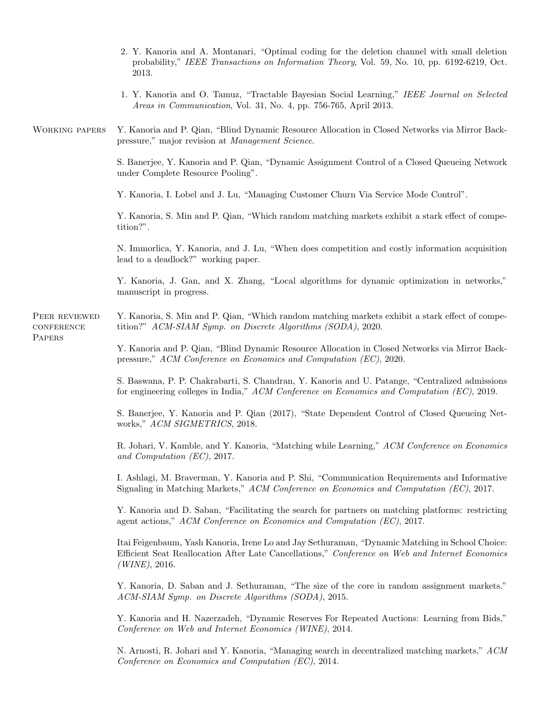|                                       | 2. Y. Kanoria and A. Montanari, "Optimal coding for the deletion channel with small deletion<br>probability," IEEE Transactions on Information Theory, Vol. 59, No. 10, pp. 6192-6219, Oct.<br>2013.                   |
|---------------------------------------|------------------------------------------------------------------------------------------------------------------------------------------------------------------------------------------------------------------------|
|                                       | 1. Y. Kanoria and O. Tamuz, "Tractable Bayesian Social Learning," IEEE Journal on Selected<br>Areas in Communication, Vol. 31, No. 4, pp. 756-765, April 2013.                                                         |
| <b>WORKING PAPERS</b>                 | Y. Kanoria and P. Qian, "Blind Dynamic Resource Allocation in Closed Networks via Mirror Back-<br>pressure," major revision at Management Science.                                                                     |
|                                       | S. Banerjee, Y. Kanoria and P. Qian, "Dynamic Assignment Control of a Closed Queueing Network<br>under Complete Resource Pooling".                                                                                     |
|                                       | Y. Kanoria, I. Lobel and J. Lu, "Managing Customer Churn Via Service Mode Control".                                                                                                                                    |
|                                       | Y. Kanoria, S. Min and P. Qian, "Which random matching markets exhibit a stark effect of compe-<br>tition?".                                                                                                           |
|                                       | N. Immortica, Y. Kanoria, and J. Lu, "When does competition and costly information acquisition<br>lead to a deadlock?" working paper.                                                                                  |
|                                       | Y. Kanoria, J. Gan, and X. Zhang, "Local algorithms for dynamic optimization in networks,"<br>manuscript in progress.                                                                                                  |
| PEER REVIEWED<br>CONFERENCE<br>PAPERS | Y. Kanoria, S. Min and P. Qian, "Which random matching markets exhibit a stark effect of compe-<br>tition?" ACM-SIAM Symp. on Discrete Algorithms (SODA), 2020.                                                        |
|                                       | Y. Kanoria and P. Qian, "Blind Dynamic Resource Allocation in Closed Networks via Mirror Back-<br>pressure," ACM Conference on Economics and Computation (EC), 2020.                                                   |
|                                       | S. Baswana, P. P. Chakrabarti, S. Chandran, Y. Kanoria and U. Patange, "Centralized admissions"<br>for engineering colleges in India," ACM Conference on Economics and Computation (EC), 2019.                         |
|                                       | S. Banerjee, Y. Kanoria and P. Qian (2017), "State Dependent Control of Closed Queueing Net-<br>works," ACM SIGMETRICS, 2018.                                                                                          |
|                                       | R. Johari, V. Kamble, and Y. Kanoria, "Matching while Learning," ACM Conference on Economics<br>and Computation (EC), 2017.                                                                                            |
|                                       | I. Ashlagi, M. Braverman, Y. Kanoria and P. Shi, "Communication Requirements and Informative<br>Signaling in Matching Markets," ACM Conference on Economics and Computation (EC), 2017.                                |
|                                       | Y. Kanoria and D. Saban, "Facilitating the search for partners on matching platforms: restricting<br>agent actions," $ACM$ Conference on Economics and Computation (EC), 2017.                                         |
|                                       | Itai Feigenbaum, Yash Kanoria, Irene Lo and Jay Sethuraman, "Dynamic Matching in School Choice:<br>Efficient Seat Reallocation After Late Cancellations," Conference on Web and Internet Economics<br>$(WINE)$ , 2016. |
|                                       | Y. Kanoria, D. Saban and J. Sethuraman, "The size of the core in random assignment markets."<br>ACM-SIAM Symp. on Discrete Algorithms (SODA), 2015.                                                                    |
|                                       | Y. Kanoria and H. Nazerzadeh, "Dynamic Reserves For Repeated Auctions: Learning from Bids,"<br>Conference on Web and Internet Economics (WINE), 2014.                                                                  |
|                                       | N. Arnosti, R. Johari and Y. Kanoria, "Managing search in decentralized matching markets," ACM<br>Conference on Economics and Computation (EC), 2014.                                                                  |
|                                       |                                                                                                                                                                                                                        |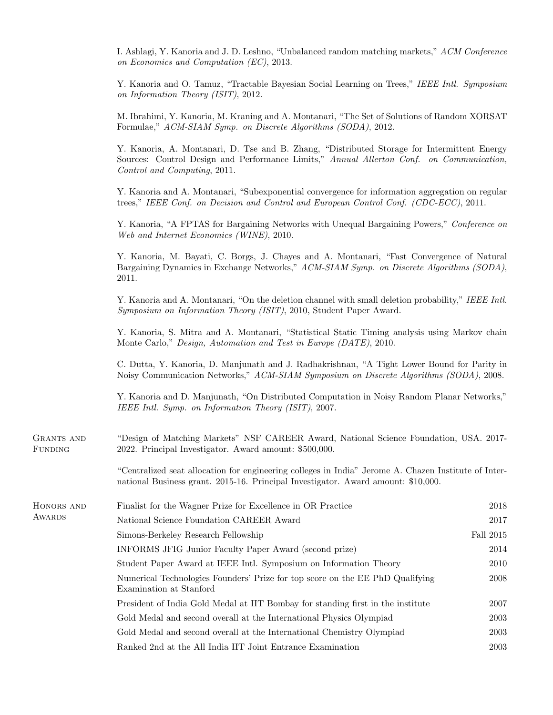I. Ashlagi, Y. Kanoria and J. D. Leshno, "Unbalanced random matching markets," ACM Conference on Economics and Computation (EC), 2013.

Y. Kanoria and O. Tamuz, "Tractable Bayesian Social Learning on Trees," IEEE Intl. Symposium on Information Theory (ISIT), 2012.

M. Ibrahimi, Y. Kanoria, M. Kraning and A. Montanari, "The Set of Solutions of Random XORSAT Formulae," ACM-SIAM Symp. on Discrete Algorithms (SODA), 2012.

Y. Kanoria, A. Montanari, D. Tse and B. Zhang, "Distributed Storage for Intermittent Energy Sources: Control Design and Performance Limits," Annual Allerton Conf. on Communication, Control and Computing, 2011.

Y. Kanoria and A. Montanari, "Subexponential convergence for information aggregation on regular trees," IEEE Conf. on Decision and Control and European Control Conf. (CDC-ECC), 2011.

Y. Kanoria, "A FPTAS for Bargaining Networks with Unequal Bargaining Powers," Conference on Web and Internet Economics (WINE), 2010.

Y. Kanoria, M. Bayati, C. Borgs, J. Chayes and A. Montanari, "Fast Convergence of Natural Bargaining Dynamics in Exchange Networks," ACM-SIAM Symp. on Discrete Algorithms (SODA), 2011.

Y. Kanoria and A. Montanari, "On the deletion channel with small deletion probability," IEEE Intl. Symposium on Information Theory (ISIT), 2010, Student Paper Award.

Y. Kanoria, S. Mitra and A. Montanari, "Statistical Static Timing analysis using Markov chain Monte Carlo," Design, Automation and Test in Europe (DATE), 2010.

C. Dutta, Y. Kanoria, D. Manjunath and J. Radhakrishnan, "A Tight Lower Bound for Parity in Noisy Communication Networks," ACM-SIAM Symposium on Discrete Algorithms (SODA), 2008.

Y. Kanoria and D. Manjunath, "On Distributed Computation in Noisy Random Planar Networks," IEEE Intl. Symp. on Information Theory (ISIT), 2007.

| GRANTS AND     | "Design of Matching Markets" NSF CAREER Award, National Science Foundation, USA. 2017- |
|----------------|----------------------------------------------------------------------------------------|
| <b>FUNDING</b> | 2022. Principal Investigator. Award amount: \$500,000.                                 |

"Centralized seat allocation for engineering colleges in India" Jerome A. Chazen Institute of International Business grant. 2015-16. Principal Investigator. Award amount: \$10,000.

| HONORS AND<br>AWARDS | Finalist for the Wagner Prize for Excellence in OR Practice                                              | 2018      |
|----------------------|----------------------------------------------------------------------------------------------------------|-----------|
|                      | National Science Foundation CAREER Award                                                                 | 2017      |
|                      | Simons-Berkeley Research Fellowship                                                                      | Fall 2015 |
|                      | INFORMS JFIG Junior Faculty Paper Award (second prize)                                                   | 2014      |
|                      | Student Paper Award at IEEE Intl. Symposium on Information Theory                                        | 2010      |
|                      | Numerical Technologies Founders' Prize for top score on the EE PhD Qualifying<br>Examination at Stanford | 2008      |
|                      | President of India Gold Medal at IIT Bombay for standing first in the institute                          | 2007      |
|                      | Gold Medal and second overall at the International Physics Olympiad                                      | 2003      |
|                      | Gold Medal and second overall at the International Chemistry Olympiad                                    | 2003      |
|                      | Ranked 2nd at the All India IIT Joint Entrance Examination                                               | 2003      |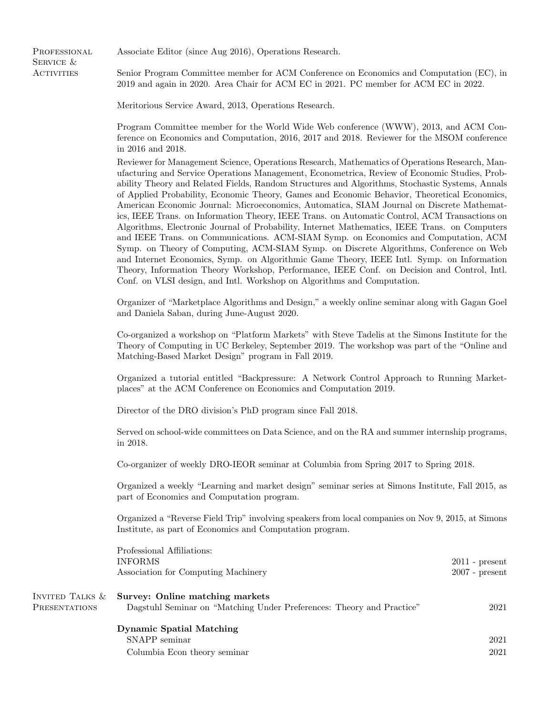**PROFESSIONAL** SERVICE & **ACTIVITIES** 

Associate Editor (since Aug 2016), Operations Research.

Senior Program Committee member for ACM Conference on Economics and Computation (EC), in 2019 and again in 2020. Area Chair for ACM EC in 2021. PC member for ACM EC in 2022.

Meritorious Service Award, 2013, Operations Research.

Program Committee member for the World Wide Web conference (WWW), 2013, and ACM Conference on Economics and Computation, 2016, 2017 and 2018. Reviewer for the MSOM conference in 2016 and 2018.

Reviewer for Management Science, Operations Research, Mathematics of Operations Research, Manufacturing and Service Operations Management, Econometrica, Review of Economic Studies, Probability Theory and Related Fields, Random Structures and Algorithms, Stochastic Systems, Annals of Applied Probability, Economic Theory, Games and Economic Behavior, Theoretical Economics, American Economic Journal: Microeconomics, Automatica, SIAM Journal on Discrete Mathematics, IEEE Trans. on Information Theory, IEEE Trans. on Automatic Control, ACM Transactions on Algorithms, Electronic Journal of Probability, Internet Mathematics, IEEE Trans. on Computers and IEEE Trans. on Communications. ACM-SIAM Symp. on Economics and Computation, ACM Symp. on Theory of Computing, ACM-SIAM Symp. on Discrete Algorithms, Conference on Web and Internet Economics, Symp. on Algorithmic Game Theory, IEEE Intl. Symp. on Information Theory, Information Theory Workshop, Performance, IEEE Conf. on Decision and Control, Intl. Conf. on VLSI design, and Intl. Workshop on Algorithms and Computation.

Organizer of "Marketplace Algorithms and Design," a weekly online seminar along with Gagan Goel and Daniela Saban, during June-August 2020.

Co-organized a workshop on "Platform Markets" with Steve Tadelis at the Simons Institute for the Theory of Computing in UC Berkeley, September 2019. The workshop was part of the "Online and Matching-Based Market Design" program in Fall 2019.

Organized a tutorial entitled "Backpressure: A Network Control Approach to Running Marketplaces" at the ACM Conference on Economics and Computation 2019.

Director of the DRO division's PhD program since Fall 2018.

Served on school-wide committees on Data Science, and on the RA and summer internship programs, in 2018.

Co-organizer of weekly DRO-IEOR seminar at Columbia from Spring 2017 to Spring 2018.

Organized a weekly "Learning and market design" seminar series at Simons Institute, Fall 2015, as part of Economics and Computation program.

Organized a "Reverse Field Trip" involving speakers from local companies on Nov 9, 2015, at Simons Institute, as part of Economics and Computation program.

|                                         | Professional Affiliations:<br><b>INFORMS</b><br>Association for Computing Machinery                      | $2011$ - present<br>$2007$ - present |
|-----------------------------------------|----------------------------------------------------------------------------------------------------------|--------------------------------------|
| INVITED TALKS &<br><b>PRESENTATIONS</b> | Survey: Online matching markets<br>Dagstuhl Seminar on "Matching Under Preferences: Theory and Practice" | 2021                                 |
|                                         | <b>Dynamic Spatial Matching</b><br>SNAPP seminar<br>Columbia Econ theory seminar                         | 2021<br>2021                         |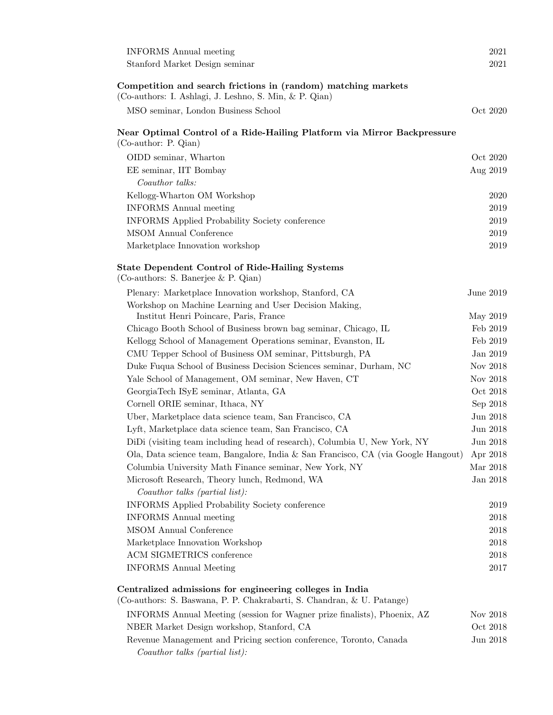| <b>INFORMS</b> Annual meeting                                                                                                      | 2021         |
|------------------------------------------------------------------------------------------------------------------------------------|--------------|
| Stanford Market Design seminar                                                                                                     | 2021         |
| Competition and search frictions in (random) matching markets<br>(Co-authors: I. Ashlagi, J. Leshno, S. Min, & P. Qian)            |              |
| MSO seminar, London Business School                                                                                                | Oct 2020     |
| Near Optimal Control of a Ride-Hailing Platform via Mirror Backpressure<br>$(Co$ -author: P. Qian)                                 |              |
| OIDD seminar, Wharton                                                                                                              | Oct 2020     |
| EE seminar, IIT Bombay                                                                                                             | Aug 2019     |
| Coauthor talks:                                                                                                                    |              |
| Kellogg-Wharton OM Workshop                                                                                                        | 2020         |
| <b>INFORMS</b> Annual meeting                                                                                                      | 2019         |
| <b>INFORMS</b> Applied Probability Society conference                                                                              | 2019         |
| MSOM Annual Conference                                                                                                             | 2019         |
| Marketplace Innovation workshop                                                                                                    | 2019         |
| <b>State Dependent Control of Ride-Hailing Systems</b><br>(Co-authors: S. Banerjee & P. Qian)                                      |              |
| Plenary: Marketplace Innovation workshop, Stanford, CA                                                                             | June 2019    |
| Workshop on Machine Learning and User Decision Making,                                                                             |              |
| Institut Henri Poincare, Paris, France                                                                                             | May 2019     |
| Chicago Booth School of Business brown bag seminar, Chicago, IL                                                                    | Feb 2019     |
| Kellogg School of Management Operations seminar, Evanston, IL                                                                      | Feb 2019     |
| CMU Tepper School of Business OM seminar, Pittsburgh, PA                                                                           | Jan $2019\,$ |
| Duke Fuqua School of Business Decision Sciences seminar, Durham, NC                                                                | Nov 2018     |
| Yale School of Management, OM seminar, New Haven, CT                                                                               | Nov 2018     |
| GeorgiaTech ISyE seminar, Atlanta, GA                                                                                              | Oct $2018$   |
| Cornell ORIE seminar, Ithaca, NY                                                                                                   | Sep 2018     |
| Uber, Marketplace data science team, San Francisco, CA                                                                             | Jun 2018     |
| Lyft, Marketplace data science team, San Francisco, CA                                                                             | Jun 2018     |
| DiDi (visiting team including head of research), Columbia U, New York, NY                                                          | Jun 2018     |
| Ola, Data science team, Bangalore, India & San Francisco, CA (via Google Hangout)                                                  | Apr 2018     |
| Columbia University Math Finance seminar, New York, NY                                                                             | Mar 2018     |
| Microsoft Research, Theory lunch, Redmond, WA                                                                                      | Jan 2018     |
| Coauthor talks (partial list):                                                                                                     |              |
| INFORMS Applied Probability Society conference                                                                                     | 2019         |
| <b>INFORMS</b> Annual meeting                                                                                                      | 2018         |
| MSOM Annual Conference                                                                                                             | 2018         |
| Marketplace Innovation Workshop                                                                                                    | 2018         |
| ACM SIGMETRICS conference                                                                                                          | 2018         |
| <b>INFORMS</b> Annual Meeting                                                                                                      | 2017         |
| Centralized admissions for engineering colleges in India<br>(Co-authors: S. Baswana, P. P. Chakrabarti, S. Chandran, & U. Patange) |              |
| INFORMS Annual Meeting (session for Wagner prize finalists), Phoenix, AZ                                                           | Nov 2018     |
| NBER Market Design workshop, Stanford, CA                                                                                          | Oct 2018     |
| Revenue Management and Pricing section conference, Toronto, Canada<br>Coauthor talks (partial list):                               | Jun 2018     |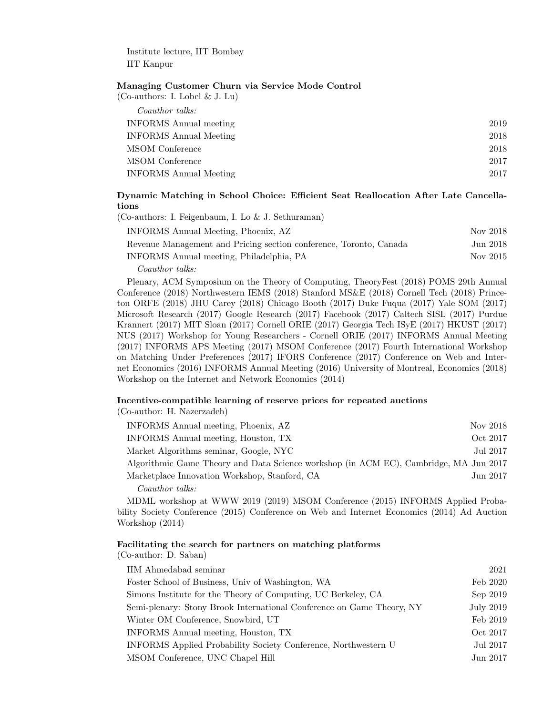Institute lecture, IIT Bombay IIT Kanpur

#### Managing Customer Churn via Service Mode Control

| Coauthor talks:               |      |
|-------------------------------|------|
| <b>INFORMS</b> Annual meeting | 2019 |
| <b>INFORMS</b> Annual Meeting | 2018 |
| MSOM Conference               | 2018 |
| MSOM Conference               | 2017 |
| <b>INFORMS</b> Annual Meeting | 2017 |
|                               |      |

# Dynamic Matching in School Choice: Efficient Seat Reallocation After Late Cancellations

| (Co-authors: I. Feigenbaum, I. Lo & J. Sethuraman)                 |          |
|--------------------------------------------------------------------|----------|
| INFORMS Annual Meeting, Phoenix, AZ                                | Nov 2018 |
| Revenue Management and Pricing section conference, Toronto, Canada | Jun 2018 |
| INFORMS Annual meeting, Philadelphia, PA                           | Nov 2015 |
| $\gamma$ $\eta$ $\eta$                                             |          |

Coauthor talks:

Plenary, ACM Symposium on the Theory of Computing, TheoryFest (2018) POMS 29th Annual Conference (2018) Northwestern IEMS (2018) Stanford MS&E (2018) Cornell Tech (2018) Princeton ORFE (2018) JHU Carey (2018) Chicago Booth (2017) Duke Fuqua (2017) Yale SOM (2017) Microsoft Research (2017) Google Research (2017) Facebook (2017) Caltech SISL (2017) Purdue Krannert (2017) MIT Sloan (2017) Cornell ORIE (2017) Georgia Tech ISyE (2017) HKUST (2017) NUS (2017) Workshop for Young Researchers - Cornell ORIE (2017) INFORMS Annual Meeting (2017) INFORMS APS Meeting (2017) MSOM Conference (2017) Fourth International Workshop on Matching Under Preferences (2017) IFORS Conference (2017) Conference on Web and Internet Economics (2016) INFORMS Annual Meeting (2016) University of Montreal, Economics (2018) Workshop on the Internet and Network Economics (2014)

## Incentive-compatible learning of reserve prices for repeated auctions

(Co-author: H. Nazerzadeh)

| INFORMS Annual meeting, Phoenix, AZ                                                   | Nov 2018 |
|---------------------------------------------------------------------------------------|----------|
| INFORMS Annual meeting, Houston, TX                                                   | Oct 2017 |
| Market Algorithms seminar, Google, NYC                                                | Jul 2017 |
| Algorithmic Game Theory and Data Science workshop (in ACM EC), Cambridge, MA Jun 2017 |          |
| Marketplace Innovation Workshop, Stanford, CA                                         | Jun 2017 |
| Coauthor talks:                                                                       |          |

MDML workshop at WWW 2019 (2019) MSOM Conference (2015) INFORMS Applied Probability Society Conference (2015) Conference on Web and Internet Economics (2014) Ad Auction Workshop (2014)

## Facilitating the search for partners on matching platforms

(Co-author: D. Saban)

| IIM Ahmedabad seminar                                                 | 2021      |
|-----------------------------------------------------------------------|-----------|
| Foster School of Business, Univ of Washington, WA                     | Feb 2020  |
| Simons Institute for the Theory of Computing, UC Berkeley, CA         | Sep 2019  |
| Semi-plenary: Stony Brook International Conference on Game Theory, NY | July 2019 |
| Winter OM Conference, Snowbird, UT                                    | Feb 2019  |
| INFORMS Annual meeting, Houston, TX                                   | Oct 2017  |
| INFORMS Applied Probability Society Conference, Northwestern U        | Jul 2017  |
| MSOM Conference, UNC Chapel Hill                                      | Jun 2017  |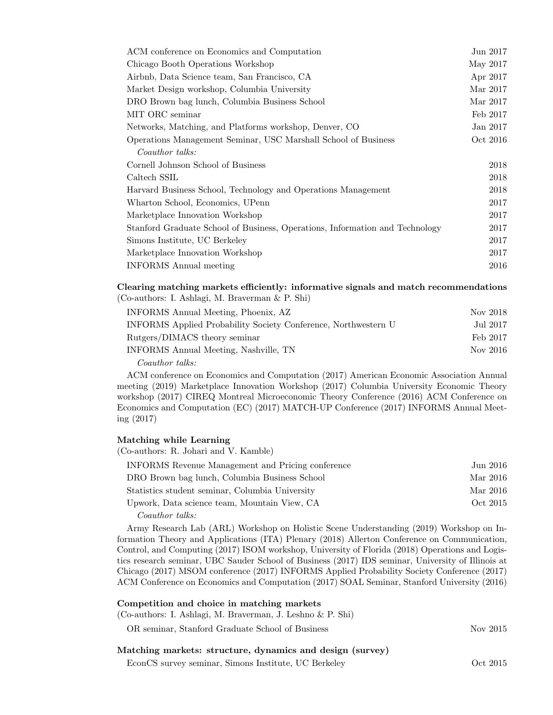| ACM conference on Economics and Computation                                  | Jun 2017 |
|------------------------------------------------------------------------------|----------|
| Chicago Booth Operations Workshop                                            | May 2017 |
| Airbnb, Data Science team, San Francisco, CA                                 | Apr 2017 |
| Market Design workshop, Columbia University                                  | Mar 2017 |
| DRO Brown bag lunch, Columbia Business School                                | Mar 2017 |
| MIT ORC seminar                                                              | Feb 2017 |
| Networks, Matching, and Platforms workshop, Denver, CO                       | Jan 2017 |
| Operations Management Seminar, USC Marshall School of Business               | Oct 2016 |
| Coauthor talks:                                                              |          |
| Cornell Johnson School of Business                                           | 2018     |
| Caltech SSIL                                                                 | 2018     |
| Harvard Business School, Technology and Operations Management                | 2018     |
| Wharton School, Economics, UPenn                                             | 2017     |
| Marketplace Innovation Workshop                                              | 2017     |
| Stanford Graduate School of Business, Operations, Information and Technology | 2017     |
| Simons Institute, UC Berkeley                                                | 2017     |
| Marketplace Innovation Workshop                                              | 2017     |
| <b>INFORMS</b> Annual meeting                                                | 2016     |

## Clearing matching markets efficiently: informative signals and match recommendations (Co-authors: I. Ashlagi, M. Braverman & P. Shi)

| INFORMS Annual Meeting, Phoenix, AZ                            | Nov 2018 |
|----------------------------------------------------------------|----------|
| INFORMS Applied Probability Society Conference, Northwestern U | Jul 2017 |
| Rutgers/DIMACS theory seminar                                  | Feb 2017 |
| INFORMS Annual Meeting, Nashville, TN                          | Nov 2016 |
| Coauthor talks:                                                |          |

ACM conference on Economics and Computation (2017) American Economic Association Annual meeting (2019) Marketplace Innovation Workshop (2017) Columbia University Economic Theory workshop (2017) CIREQ Montreal Microeconomic Theory Conference (2016) ACM Conference on Economics and Computation (EC) (2017) MATCH-UP Conference (2017) INFORMS Annual Meeting (2017)

## Matching while Learning

(Co-authors: R. Johari and V. Kamble)

| INFORMS Revenue Management and Pricing conference | Jun 2016 |
|---------------------------------------------------|----------|
| DRO Brown bag lunch, Columbia Business School     | Mar 2016 |
| Statistics student seminar, Columbia University   | Mar 2016 |
| Upwork, Data science team, Mountain View, CA      | Oct 2015 |
| Coauthor talks:                                   |          |

Army Research Lab (ARL) Workshop on Holistic Scene Understanding (2019) Workshop on Information Theory and Applications (ITA) Plenary (2018) Allerton Conference on Communication, Control, and Computing (2017) ISOM workshop, University of Florida (2018) Operations and Logistics research seminar, UBC Sauder School of Business (2017) IDS seminar, University of Illinois at Chicago (2017) MSOM conference (2017) INFORMS Applied Probability Society Conference (2017) ACM Conference on Economics and Computation (2017) SOAL Seminar, Stanford University (2016)

#### Competition and choice in matching markets

(Co-authors: I. Ashlagi, M. Braverman, J. Leshno & P. Shi)

OR seminar, Stanford Graduate School of Business Nov 2015

# Matching markets: structure, dynamics and design (survey)

EconCS survey seminar, Simons Institute, UC Berkeley Oct 2015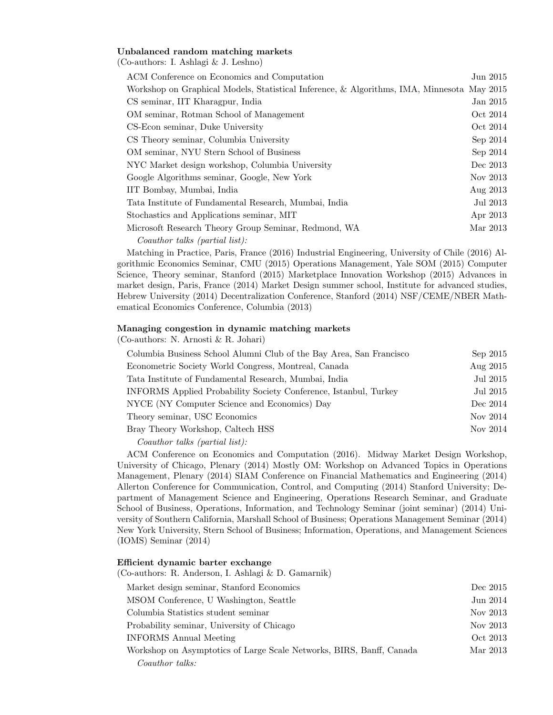## Unbalanced random matching markets

(Co-authors: I. Ashlagi & J. Leshno)

| ACM Conference on Economics and Computation                                                |          | Jun 2015 |
|--------------------------------------------------------------------------------------------|----------|----------|
| Workshop on Graphical Models, Statistical Inference, & Algorithms, IMA, Minnesota May 2015 |          |          |
| CS seminar, IIT Kharagpur, India                                                           |          | Jan 2015 |
| OM seminar, Rotman School of Management                                                    |          | Oct 2014 |
| CS-Econ seminar, Duke University                                                           |          | Oct 2014 |
| CS Theory seminar, Columbia University                                                     |          | Sep 2014 |
| OM seminar, NYU Stern School of Business                                                   |          | Sep 2014 |
| NYC Market design workshop, Columbia University                                            | Dec 2013 |          |
| Google Algorithms seminar, Google, New York                                                | Nov 2013 |          |
| IIT Bombay, Mumbai, India                                                                  | Aug 2013 |          |
| Tata Institute of Fundamental Research, Mumbai, India                                      |          | Jul 2013 |
| Stochastics and Applications seminar, MIT                                                  | Apr 2013 |          |
| Microsoft Research Theory Group Seminar, Redmond, WA                                       | Mar 2013 |          |
| Coauthor talks (partial list):                                                             |          |          |

Matching in Practice, Paris, France (2016) Industrial Engineering, University of Chile (2016) Algorithmic Economics Seminar, CMU (2015) Operations Management, Yale SOM (2015) Computer Science, Theory seminar, Stanford (2015) Marketplace Innovation Workshop (2015) Advances in market design, Paris, France (2014) Market Design summer school, Institute for advanced studies, Hebrew University (2014) Decentralization Conference, Stanford (2014) NSF/CEME/NBER Mathematical Economics Conference, Columbia (2013)

# Managing congestion in dynamic matching markets

(Co-authors: N. Arnosti & R. Johari)

| Columbia Business School Alumni Club of the Bay Area, San Francisco | Sep 2015 |
|---------------------------------------------------------------------|----------|
| Econometric Society World Congress, Montreal, Canada                | Aug 2015 |
| Tata Institute of Fundamental Research, Mumbai, India               | Jul 2015 |
| INFORMS Applied Probability Society Conference, Istanbul, Turkey    | Jul 2015 |
| NYCE (NY Computer Science and Economics) Day                        | Dec 2014 |
| Theory seminar, USC Economics                                       | Nov 2014 |
| Bray Theory Workshop, Caltech HSS                                   | Nov 2014 |
|                                                                     |          |

 $Coauthor$  talks (partial list):

ACM Conference on Economics and Computation (2016). Midway Market Design Workshop, University of Chicago, Plenary (2014) Mostly OM: Workshop on Advanced Topics in Operations Management, Plenary (2014) SIAM Conference on Financial Mathematics and Engineering (2014) Allerton Conference for Communication, Control, and Computing (2014) Stanford University; Department of Management Science and Engineering, Operations Research Seminar, and Graduate School of Business, Operations, Information, and Technology Seminar (joint seminar) (2014) University of Southern California, Marshall School of Business; Operations Management Seminar (2014) New York University, Stern School of Business; Information, Operations, and Management Sciences (IOMS) Seminar (2014)

#### Efficient dynamic barter exchange

(Co-authors: R. Anderson, I. Ashlagi & D. Gamarnik)

| Market design seminar, Stanford Economics                            | Dec 2015 |
|----------------------------------------------------------------------|----------|
| MSOM Conference, U Washington, Seattle                               | Jun 2014 |
| Columbia Statistics student seminar                                  | Nov 2013 |
| Probability seminar, University of Chicago                           | Nov 2013 |
| INFORMS Annual Meeting                                               | Oct 2013 |
| Workshop on Asymptotics of Large Scale Networks, BIRS, Banff, Canada | Mar 2013 |
| Coauthor talks:                                                      |          |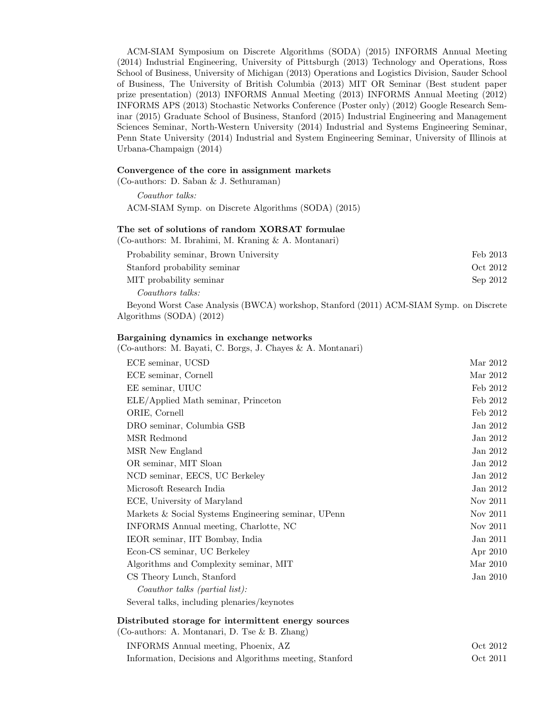ACM-SIAM Symposium on Discrete Algorithms (SODA) (2015) INFORMS Annual Meeting (2014) Industrial Engineering, University of Pittsburgh (2013) Technology and Operations, Ross School of Business, University of Michigan (2013) Operations and Logistics Division, Sauder School of Business, The University of British Columbia (2013) MIT OR Seminar (Best student paper prize presentation) (2013) INFORMS Annual Meeting (2013) INFORMS Annual Meeting (2012) INFORMS APS (2013) Stochastic Networks Conference (Poster only) (2012) Google Research Seminar (2015) Graduate School of Business, Stanford (2015) Industrial Engineering and Management Sciences Seminar, North-Western University (2014) Industrial and Systems Engineering Seminar, Penn State University (2014) Industrial and System Engineering Seminar, University of Illinois at Urbana-Champaign (2014)

#### Convergence of the core in assignment markets

(Co-authors: D. Saban & J. Sethuraman)

 $Cauthor$  talks: ACM-SIAM Symp. on Discrete Algorithms (SODA) (2015)

#### The set of solutions of random XORSAT formulae

(Co-authors: M. Ibrahimi, M. Kraning & A. Montanari)

| Probability seminar, Brown University | Feb 2013 |
|---------------------------------------|----------|
| Stanford probability seminar          | Oct 2012 |
| MIT probability seminar               | Sep 2012 |
| Coauthors talks:                      |          |

Beyond Worst Case Analysis (BWCA) workshop, Stanford (2011) ACM-SIAM Symp. on Discrete Algorithms (SODA) (2012)

## Bargaining dynamics in exchange networks

(Co-authors: M. Bayati, C. Borgs, J. Chayes & A. Montanari)

| ECE seminar, UCSD                                   | Mar 2012 |
|-----------------------------------------------------|----------|
| ECE seminar, Cornell                                | Mar 2012 |
| EE seminar, UIUC                                    | Feb 2012 |
| ELE/Applied Math seminar, Princeton                 | Feb 2012 |
| ORIE, Cornell                                       | Feb 2012 |
| DRO seminar, Columbia GSB                           | Jan 2012 |
| MSR Redmond                                         | Jan 2012 |
| MSR New England                                     | Jan 2012 |
| OR seminar, MIT Sloan                               | Jan 2012 |
| NCD seminar, EECS, UC Berkeley                      | Jan 2012 |
| Microsoft Research India                            | Jan 2012 |
| ECE, University of Maryland                         | Nov 2011 |
| Markets & Social Systems Engineering seminar, UPenn | Nov 2011 |
| INFORMS Annual meeting, Charlotte, NC               | Nov 2011 |
| IEOR seminar, IIT Bombay, India                     | Jan 2011 |
| Econ-CS seminar, UC Berkeley                        | Apr 2010 |
| Algorithms and Complexity seminar, MIT              | Mar 2010 |
| CS Theory Lunch, Stanford                           | Jan 2010 |
| Coauthor talks (partial list):                      |          |
| Several talks, including plenaries/keynotes         |          |
|                                                     |          |

#### Distributed storage for intermittent energy sources

(Co-authors: A. Montanari, D. Tse & B. Zhang)

| INFORMS Annual meeting, Phoenix, AZ                     | Oct 2012 |
|---------------------------------------------------------|----------|
| Information, Decisions and Algorithms meeting, Stanford | Oct 2011 |